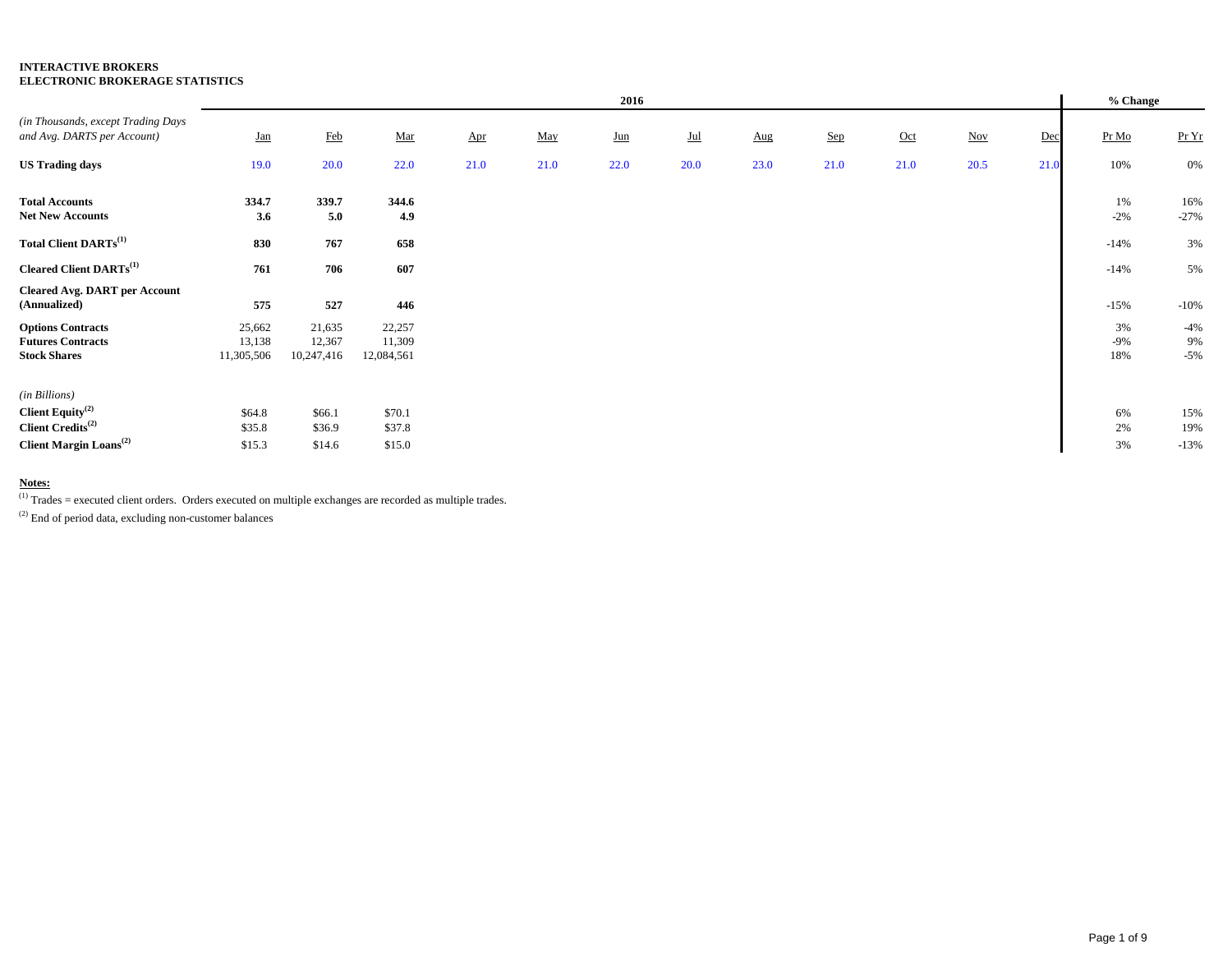|                                                                             |                                |                                |                                |                       |      | 2016  |       |      |       |       |                          |      | % Change           |                      |
|-----------------------------------------------------------------------------|--------------------------------|--------------------------------|--------------------------------|-----------------------|------|-------|-------|------|-------|-------|--------------------------|------|--------------------|----------------------|
| (in Thousands, except Trading Days)<br>and Avg. DARTS per Account)          | $Jan$                          | <b>Feb</b>                     | $\underline{\mathbf{Mar}}$     | $_{\Delta \text{pr}}$ | May  | $Jun$ | $Jul$ | Aug  | $Sep$ | $Oct$ | $\underline{\text{Nov}}$ | Dec  | Pr Mo              | Pr Yr                |
| <b>US Trading days</b>                                                      | 19.0                           | 20.0                           | 22.0                           | 21.0                  | 21.0 | 22.0  | 20.0  | 23.0 | 21.0  | 21.0  | 20.5                     | 21.0 | 10%                | 0%                   |
| <b>Total Accounts</b><br><b>Net New Accounts</b>                            | 334.7<br>3.6                   | 339.7<br>5.0                   | 344.6<br>4.9                   |                       |      |       |       |      |       |       |                          |      | 1%<br>$-2%$        | 16%<br>$-27%$        |
| Total Client DARTs <sup>(1)</sup>                                           | 830                            | 767                            | 658                            |                       |      |       |       |      |       |       |                          |      | $-14%$             | 3%                   |
| <b>Cleared Client DARTs</b> <sup>(1)</sup>                                  | 761                            | 706                            | 607                            |                       |      |       |       |      |       |       |                          |      | $-14%$             | 5%                   |
| <b>Cleared Avg. DART per Account</b><br>(Annualized)                        | 575                            | 527                            | 446                            |                       |      |       |       |      |       |       |                          |      | $-15%$             | $-10%$               |
| <b>Options Contracts</b><br><b>Futures Contracts</b><br><b>Stock Shares</b> | 25,662<br>13,138<br>11,305,506 | 21,635<br>12,367<br>10,247,416 | 22,257<br>11,309<br>12,084,561 |                       |      |       |       |      |       |       |                          |      | 3%<br>$-9%$<br>18% | $-4%$<br>9%<br>$-5%$ |
| (in Billions)                                                               |                                |                                |                                |                       |      |       |       |      |       |       |                          |      |                    |                      |
| Client Equity <sup>(2)</sup><br>Client Credits <sup>(2)</sup>               | \$64.8<br>\$35.8               | \$66.1<br>\$36.9               | \$70.1<br>\$37.8               |                       |      |       |       |      |       |       |                          |      | 6%<br>2%           | 15%<br>19%           |
| <b>Client Margin Loans</b> <sup>(2)</sup>                                   | \$15.3                         | \$14.6                         | \$15.0                         |                       |      |       |       |      |       |       |                          |      | 3%                 | $-13%$               |

**Notes:** (1) Trades = executed client orders. Orders executed on multiple exchanges are recorded as multiple trades.

 $(2)$  End of period data, excluding non-customer balances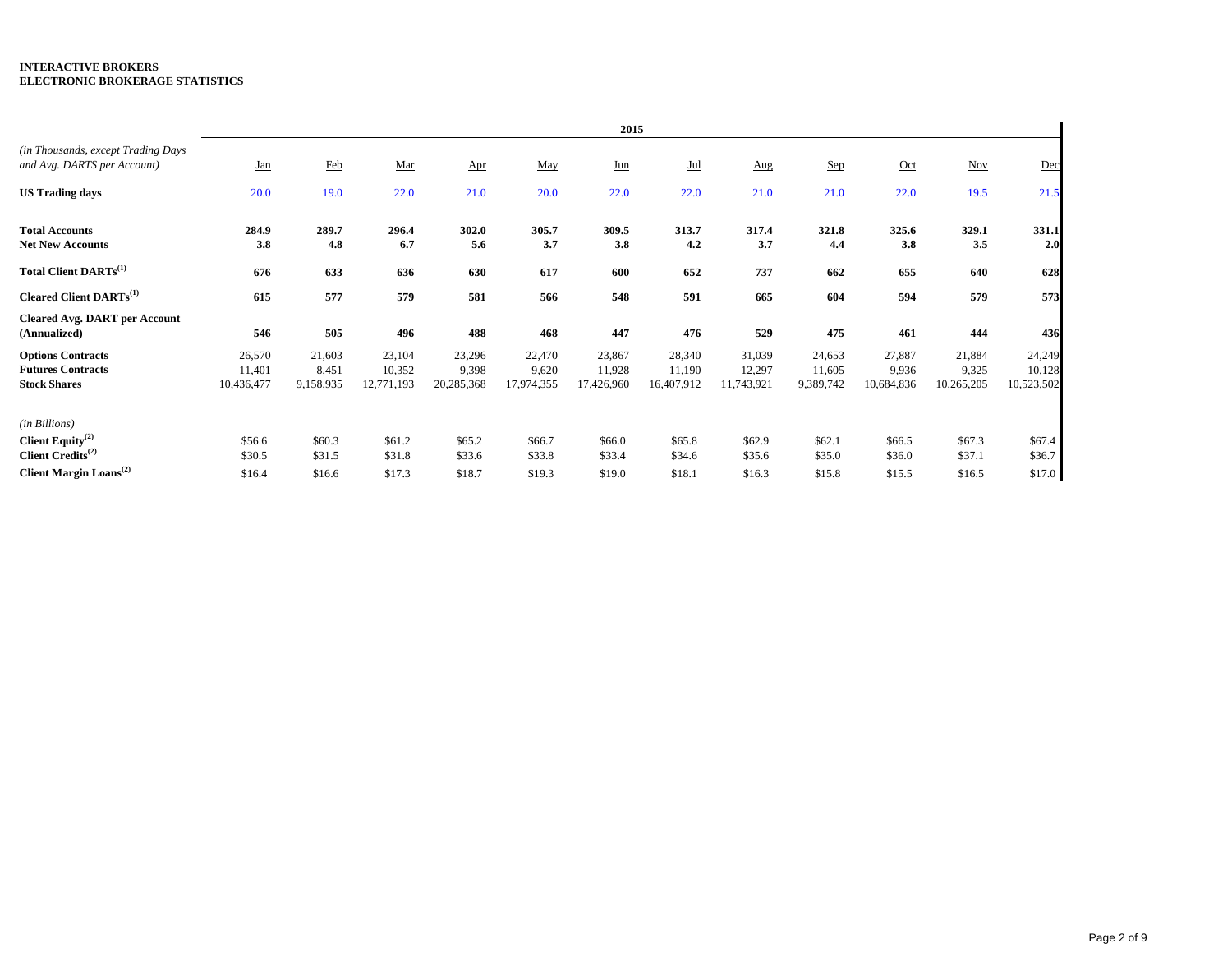|                                                                                |                                |                              |                                |                               |                               | 2015                           |                                |                                |                               |                               |                               |                                |
|--------------------------------------------------------------------------------|--------------------------------|------------------------------|--------------------------------|-------------------------------|-------------------------------|--------------------------------|--------------------------------|--------------------------------|-------------------------------|-------------------------------|-------------------------------|--------------------------------|
| (in Thousands, except Trading Days<br>and Avg. DARTS per Account)              | <u>Jan</u>                     | Feb                          | Mar                            | Apr                           | May                           | $_{\text{Jun}}$                | Jul                            | Aug                            | Sep                           | Oct                           | <b>Nov</b>                    | Dec                            |
| <b>US Trading days</b>                                                         | 20.0                           | 19.0                         | 22.0                           | 21.0                          | 20.0                          | 22.0                           | 22.0                           | 21.0                           | 21.0                          | 22.0                          | 19.5                          | 21.5                           |
| <b>Total Accounts</b><br><b>Net New Accounts</b>                               | 284.9<br>3.8                   | 289.7<br>4.8                 | 296.4<br>6.7                   | 302.0<br>5.6                  | 305.7<br>3.7                  | 309.5<br>3.8                   | 313.7<br>4.2                   | 317.4<br>3.7                   | 321.8<br>4,4                  | 325.6<br>3.8                  | 329.1<br>3.5                  | 331.1<br>2.0                   |
| Total Client DARTs <sup>(1)</sup>                                              | 676                            | 633                          | 636                            | 630                           | 617                           | 600                            | 652                            | 737                            | 662                           | 655                           | 640                           | 628                            |
| <b>Cleared Client DARTs</b> <sup>(1)</sup>                                     | 615                            | 577                          | 579                            | 581                           | 566                           | 548                            | 591                            | 665                            | 604                           | 594                           | 579                           | 573                            |
| <b>Cleared Avg. DART per Account</b><br>(Annualized)                           | 546                            | 505                          | 496                            | 488                           | 468                           | 447                            | 476                            | 529                            | 475                           | 461                           | 444                           | 436                            |
| <b>Options Contracts</b><br><b>Futures Contracts</b><br><b>Stock Shares</b>    | 26,570<br>11,401<br>10,436,477 | 21,603<br>8,451<br>9,158,935 | 23,104<br>10,352<br>12,771,193 | 23,296<br>9,398<br>20,285,368 | 22,470<br>9,620<br>17,974,355 | 23,867<br>11,928<br>17,426,960 | 28,340<br>11,190<br>16,407,912 | 31,039<br>12,297<br>11,743,921 | 24,653<br>11,605<br>9,389,742 | 27,887<br>9,936<br>10,684,836 | 21,884<br>9,325<br>10,265,205 | 24,249<br>10,128<br>10,523,502 |
| (in Billions)<br>Client Equity <sup>(2)</sup><br>Client Credits <sup>(2)</sup> | \$56.6<br>\$30.5               | \$60.3<br>\$31.5             | \$61.2<br>\$31.8               | \$65.2<br>\$33.6              | \$66.7<br>\$33.8              | \$66.0<br>\$33.4               | \$65.8<br>\$34.6               | \$62.9<br>\$35.6               | \$62.1<br>\$35.0              | \$66.5<br>\$36.0              | \$67.3<br>\$37.1              | \$67.4<br>\$36.7               |
| <b>Client Margin Loans</b> <sup>(2)</sup>                                      | \$16.4                         | \$16.6                       | \$17.3                         | \$18.7                        | \$19.3                        | \$19.0                         | \$18.1                         | \$16.3                         | \$15.8                        | \$15.5                        | \$16.5                        | \$17.0                         |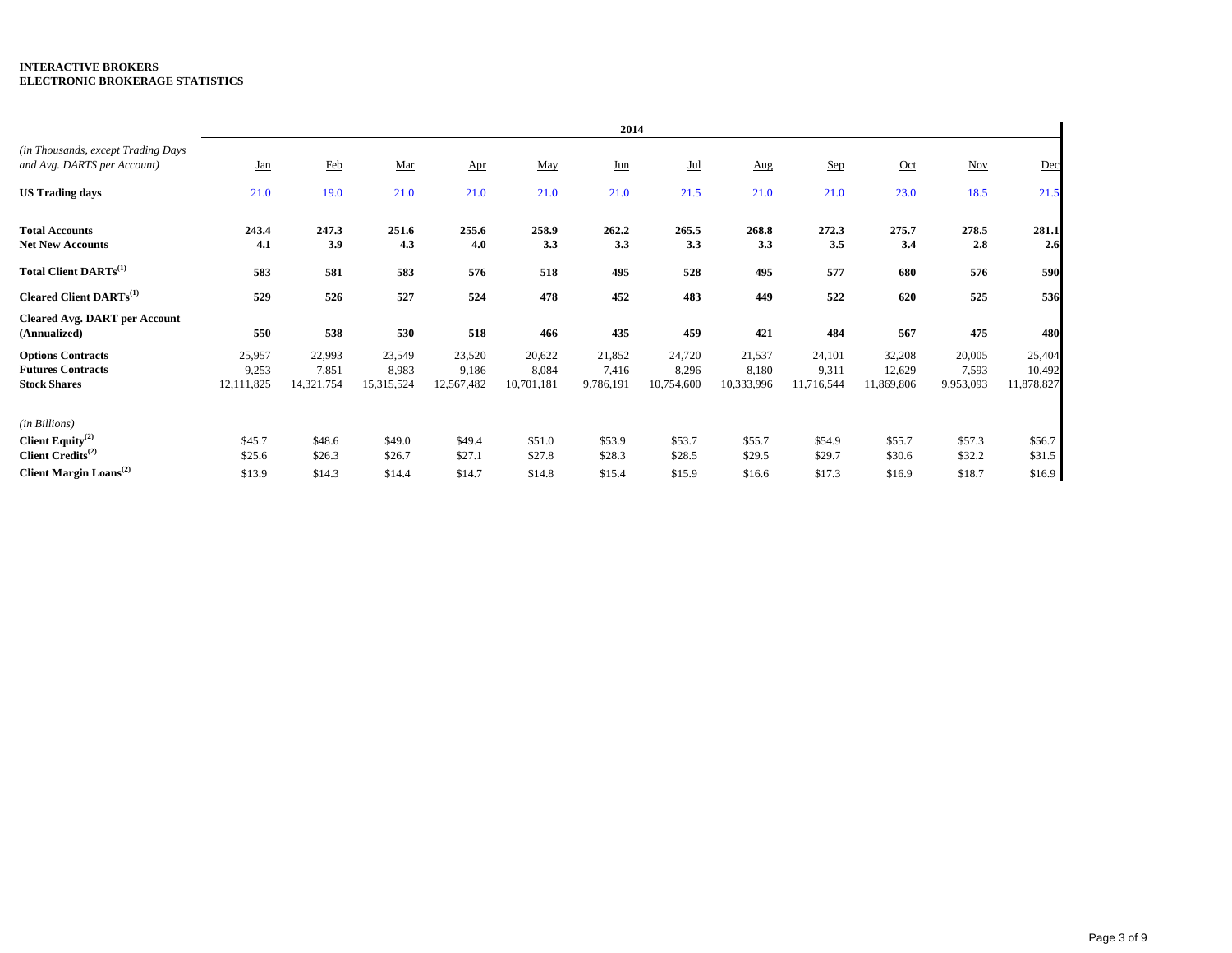|                                                                                |                               |                               |                               |                               |                               | 2014                         |                               |                               |                               |                                |                              |                                |
|--------------------------------------------------------------------------------|-------------------------------|-------------------------------|-------------------------------|-------------------------------|-------------------------------|------------------------------|-------------------------------|-------------------------------|-------------------------------|--------------------------------|------------------------------|--------------------------------|
| (in Thousands, except Trading Days<br>and Avg. DARTS per Account)              | <u>Jan</u>                    | Feb                           | Mar                           | Apr                           | May                           | <u>Jun</u>                   | Jul                           | Aug                           | Sep                           | Oct                            | <b>Nov</b>                   | Dec                            |
| <b>US Trading days</b>                                                         | 21.0                          | 19.0                          | 21.0                          | 21.0                          | 21.0                          | 21.0                         | 21.5                          | 21.0                          | 21.0                          | 23.0                           | 18.5                         | 21.5                           |
| <b>Total Accounts</b><br><b>Net New Accounts</b>                               | 243.4<br>4.1                  | 247.3<br>3.9                  | 251.6<br>4.3                  | 255.6<br>4.0                  | 258.9<br>3.3                  | 262.2<br>3.3                 | 265.5<br>3.3                  | 268.8<br>3.3                  | 272.3<br>3.5                  | 275.7<br>3.4                   | 278.5<br>2.8                 | 281.1<br>2.6                   |
| Total Client DARTs <sup>(1)</sup>                                              | 583                           | 581                           | 583                           | 576                           | 518                           | 495                          | 528                           | 495                           | 577                           | 680                            | 576                          | 590                            |
| <b>Cleared Client DARTs</b> <sup>(1)</sup>                                     | 529                           | 526                           | 527                           | 524                           | 478                           | 452                          | 483                           | 449                           | 522                           | 620                            | 525                          | 536                            |
| <b>Cleared Avg. DART per Account</b><br>(Annualized)                           | 550                           | 538                           | 530                           | 518                           | 466                           | 435                          | 459                           | 421                           | 484                           | 567                            | 475                          | 480                            |
| <b>Options Contracts</b><br><b>Futures Contracts</b><br><b>Stock Shares</b>    | 25,957<br>9,253<br>12,111,825 | 22,993<br>7,851<br>14,321,754 | 23,549<br>8,983<br>15,315,524 | 23,520<br>9,186<br>12,567,482 | 20,622<br>8,084<br>10,701,181 | 21,852<br>7,416<br>9,786,191 | 24,720<br>8,296<br>10,754,600 | 21,537<br>8,180<br>10,333,996 | 24,101<br>9,311<br>11,716,544 | 32,208<br>12,629<br>11,869,806 | 20,005<br>7,593<br>9,953,093 | 25,404<br>10,492<br>11,878,827 |
| (in Billions)<br>Client Equity <sup>(2)</sup><br>Client Credits <sup>(2)</sup> | \$45.7<br>\$25.6              | \$48.6<br>\$26.3              | \$49.0<br>\$26.7              | \$49.4<br>\$27.1              | \$51.0<br>\$27.8              | \$53.9<br>\$28.3             | \$53.7<br>\$28.5              | \$55.7<br>\$29.5              | \$54.9<br>\$29.7              | \$55.7<br>\$30.6               | \$57.3<br>\$32.2             | \$56.7<br>\$31.5               |
| <b>Client Margin Loans</b> <sup>(2)</sup>                                      | \$13.9                        | \$14.3                        | \$14.4                        | \$14.7                        | \$14.8                        | \$15.4                       | \$15.9                        | \$16.6                        | \$17.3                        | \$16.9                         | \$18.7                       | \$16.9                         |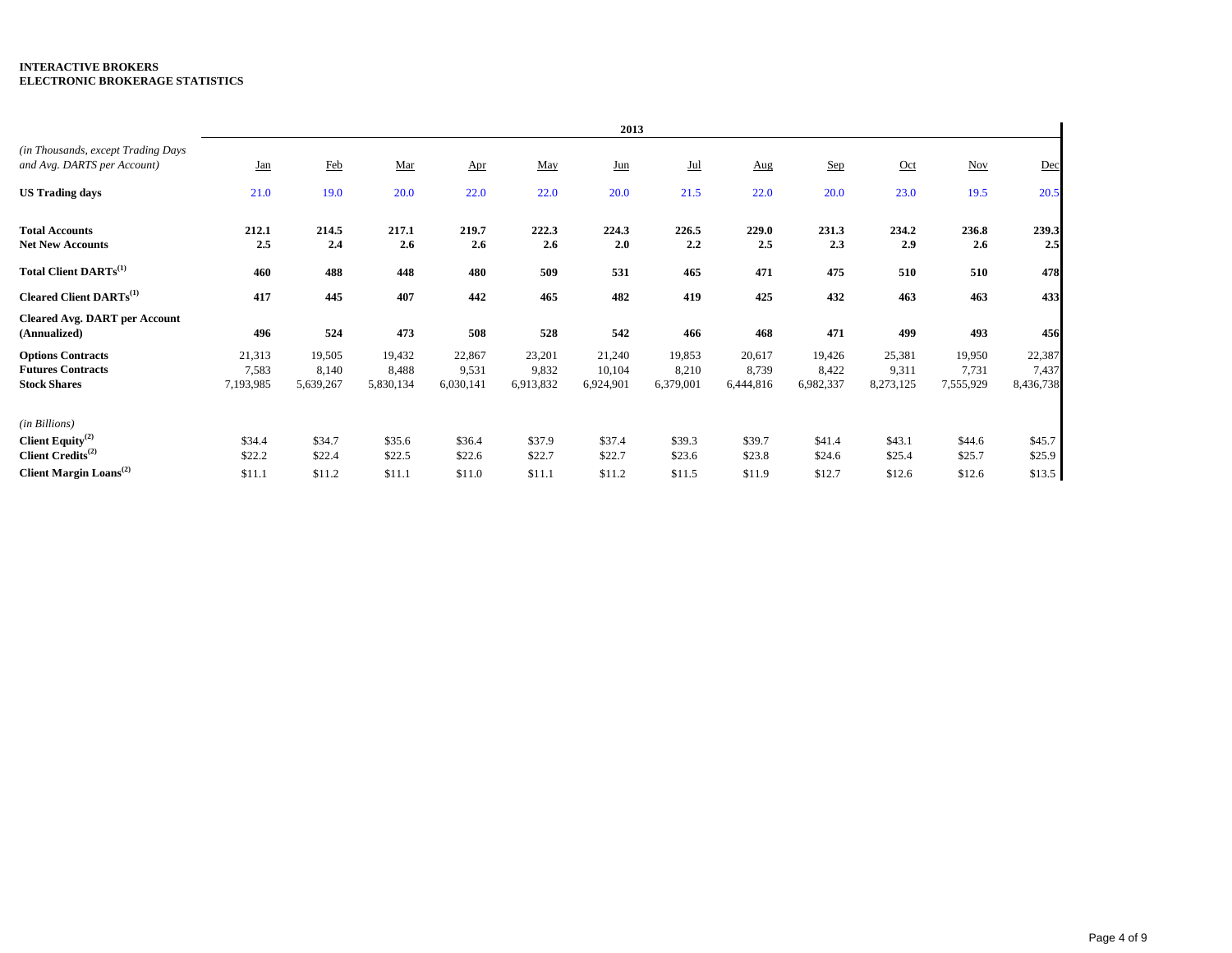|                                                                                |                              |                              |                              |                              |                              | 2013                          |                              |                              |                              |                              |                              |                              |
|--------------------------------------------------------------------------------|------------------------------|------------------------------|------------------------------|------------------------------|------------------------------|-------------------------------|------------------------------|------------------------------|------------------------------|------------------------------|------------------------------|------------------------------|
| (in Thousands, except Trading Days<br>and Avg. DARTS per Account)              | <u>Jan</u>                   | Feb                          | Mar                          | Apr                          | May                          | Jun                           | Jul                          | Aug                          | Sep                          | Oct                          | <b>Nov</b>                   | Dec                          |
| <b>US Trading days</b>                                                         | 21.0                         | 19.0                         | 20.0                         | 22.0                         | 22.0                         | 20.0                          | 21.5                         | 22.0                         | 20.0                         | 23.0                         | 19.5                         | 20.5                         |
| <b>Total Accounts</b><br><b>Net New Accounts</b>                               | 212.1<br>2.5                 | 214.5<br>2.4                 | 217.1<br>2.6                 | 219.7<br>2.6                 | 222.3<br>2.6                 | 224.3<br>2.0                  | 226.5<br>2.2                 | 229.0<br>2.5                 | 231.3<br>2.3                 | 234.2<br>2.9                 | 236.8<br>2.6                 | 239.3<br>2.5                 |
| Total Client DARTs <sup>(1)</sup>                                              | 460                          | 488                          | 448                          | 480                          | 509                          | 531                           | 465                          | 471                          | 475                          | 510                          | 510                          | 478                          |
| Cleared Client DARTs <sup>(1)</sup>                                            | 417                          | 445                          | 407                          | 442                          | 465                          | 482                           | 419                          | 425                          | 432                          | 463                          | 463                          | 433                          |
| <b>Cleared Avg. DART per Account</b><br>(Annualized)                           | 496                          | 524                          | 473                          | 508                          | 528                          | 542                           | 466                          | 468                          | 471                          | 499                          | 493                          | 456                          |
| <b>Options Contracts</b><br><b>Futures Contracts</b><br><b>Stock Shares</b>    | 21,313<br>7,583<br>7,193,985 | 19,505<br>8,140<br>5,639,267 | 19,432<br>8,488<br>5,830,134 | 22,867<br>9,531<br>6,030,141 | 23,201<br>9,832<br>6,913,832 | 21,240<br>10,104<br>6,924,901 | 19,853<br>8,210<br>6,379,001 | 20,617<br>8,739<br>6,444,816 | 19,426<br>8,422<br>6,982,337 | 25,381<br>9,311<br>8,273,125 | 19,950<br>7,731<br>7,555,929 | 22,387<br>7,437<br>8,436,738 |
| (in Billions)<br>Client Equity <sup>(2)</sup><br>Client Credits <sup>(2)</sup> | \$34.4<br>\$22.2             | \$34.7<br>\$22.4             | \$35.6<br>\$22.5             | \$36.4<br>\$22.6             | \$37.9<br>\$22.7             | \$37.4<br>\$22.7              | \$39.3<br>\$23.6             | \$39.7<br>\$23.8             | \$41.4<br>\$24.6             | \$43.1<br>\$25.4             | \$44.6<br>\$25.7             | \$45.7<br>\$25.9             |
| Client Margin $\mathrm{Loans}^{(2)}$                                           | \$11.1                       | \$11.2                       | \$11.1                       | \$11.0                       | \$11.1                       | \$11.2                        | \$11.5                       | \$11.9                       | \$12.7                       | \$12.6                       | \$12.6                       | \$13.5                       |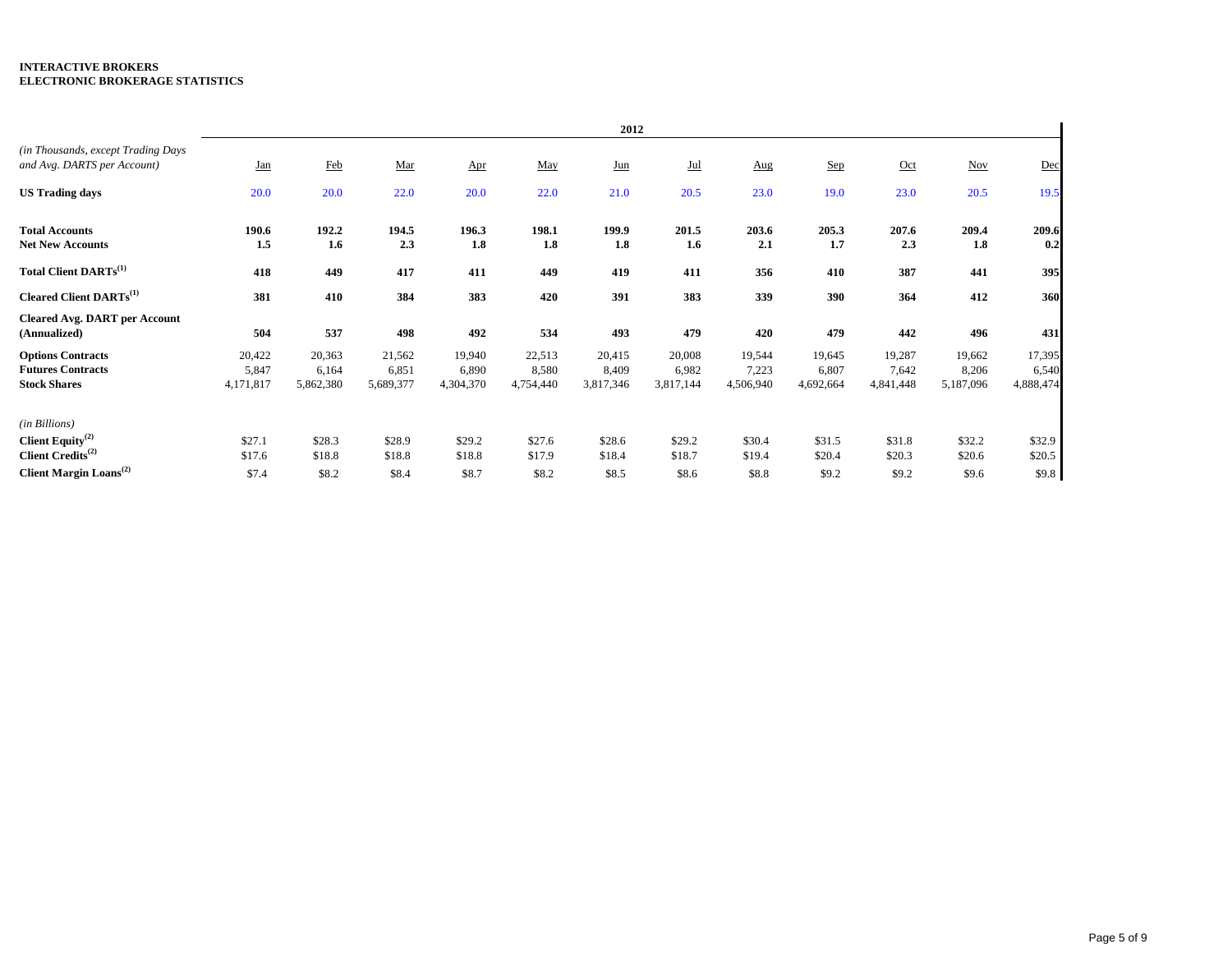|                                                                                |                              |                              |                              |                              |                              | 2012                         |                              |                              |                              |                              |                              |                              |
|--------------------------------------------------------------------------------|------------------------------|------------------------------|------------------------------|------------------------------|------------------------------|------------------------------|------------------------------|------------------------------|------------------------------|------------------------------|------------------------------|------------------------------|
| (in Thousands, except Trading Days)<br>and Avg. DARTS per Account)             | <u>Jan</u>                   | Feb                          | Mar                          | $_{\Delta \text{pr}}$        | May                          | $_{\text{Lun}}$              | $Jul$                        | Aug                          | Sep                          | $Oct$                        | <b>Nov</b>                   | Dec                          |
| <b>US Trading days</b>                                                         | 20.0                         | 20.0                         | 22.0                         | 20.0                         | 22.0                         | 21.0                         | 20.5                         | 23.0                         | 19.0                         | 23.0                         | 20.5                         | 19.5                         |
| <b>Total Accounts</b><br><b>Net New Accounts</b>                               | 190.6<br>1.5                 | 192.2<br>$1.6\phantom{0}$    | 194.5<br>2.3                 | 196.3<br>1.8                 | 198.1<br>1.8                 | 199.9<br>1.8                 | 201.5<br>1.6                 | 203.6<br>2.1                 | 205.3<br>1.7                 | 207.6<br>2.3                 | 209.4<br>1.8                 | 209.6<br>0.2                 |
| <b>Total Client DARTs</b> <sup>(1)</sup>                                       | 418                          | 449                          | 417                          | 411                          | 449                          | 419                          | 411                          | 356                          | 410                          | 387                          | 441                          | 395                          |
| Cleared Client DARTs <sup>(1)</sup>                                            | 381                          | 410                          | 384                          | 383                          | 420                          | 391                          | 383                          | 339                          | 390                          | 364                          | 412                          | 360                          |
| <b>Cleared Avg. DART per Account</b><br>(Annualized)                           | 504                          | 537                          | 498                          | 492                          | 534                          | 493                          | 479                          | 420                          | 479                          | 442                          | 496                          | 431                          |
| <b>Options Contracts</b><br><b>Futures Contracts</b><br><b>Stock Shares</b>    | 20,422<br>5,847<br>4,171,817 | 20,363<br>6,164<br>5,862,380 | 21,562<br>6,851<br>5,689,377 | 19,940<br>6,890<br>4,304,370 | 22,513<br>8,580<br>4,754,440 | 20,415<br>8,409<br>3,817,346 | 20,008<br>6,982<br>3,817,144 | 19,544<br>7,223<br>4,506,940 | 19,645<br>6,807<br>4,692,664 | 19,287<br>7,642<br>4,841,448 | 19,662<br>8,206<br>5,187,096 | 17,395<br>6,540<br>4,888,474 |
| (in Billions)<br>Client Equity <sup>(2)</sup><br>Client Credits <sup>(2)</sup> | \$27.1<br>\$17.6             | \$28.3<br>\$18.8             | \$28.9<br>\$18.8             | \$29.2<br>\$18.8             | \$27.6<br>\$17.9             | \$28.6<br>\$18.4             | \$29.2<br>\$18.7             | \$30.4<br>\$19.4             | \$31.5<br>\$20.4             | \$31.8<br>\$20.3             | \$32.2<br>\$20.6             | \$32.9<br>\$20.5             |
| Client Margin Loans <sup>(2)</sup>                                             | \$7.4                        | \$8.2                        | \$8.4                        | \$8.7                        | \$8.2                        | \$8.5                        | \$8.6                        | \$8.8                        | \$9.2                        | \$9.2                        | \$9.6                        | \$9.8                        |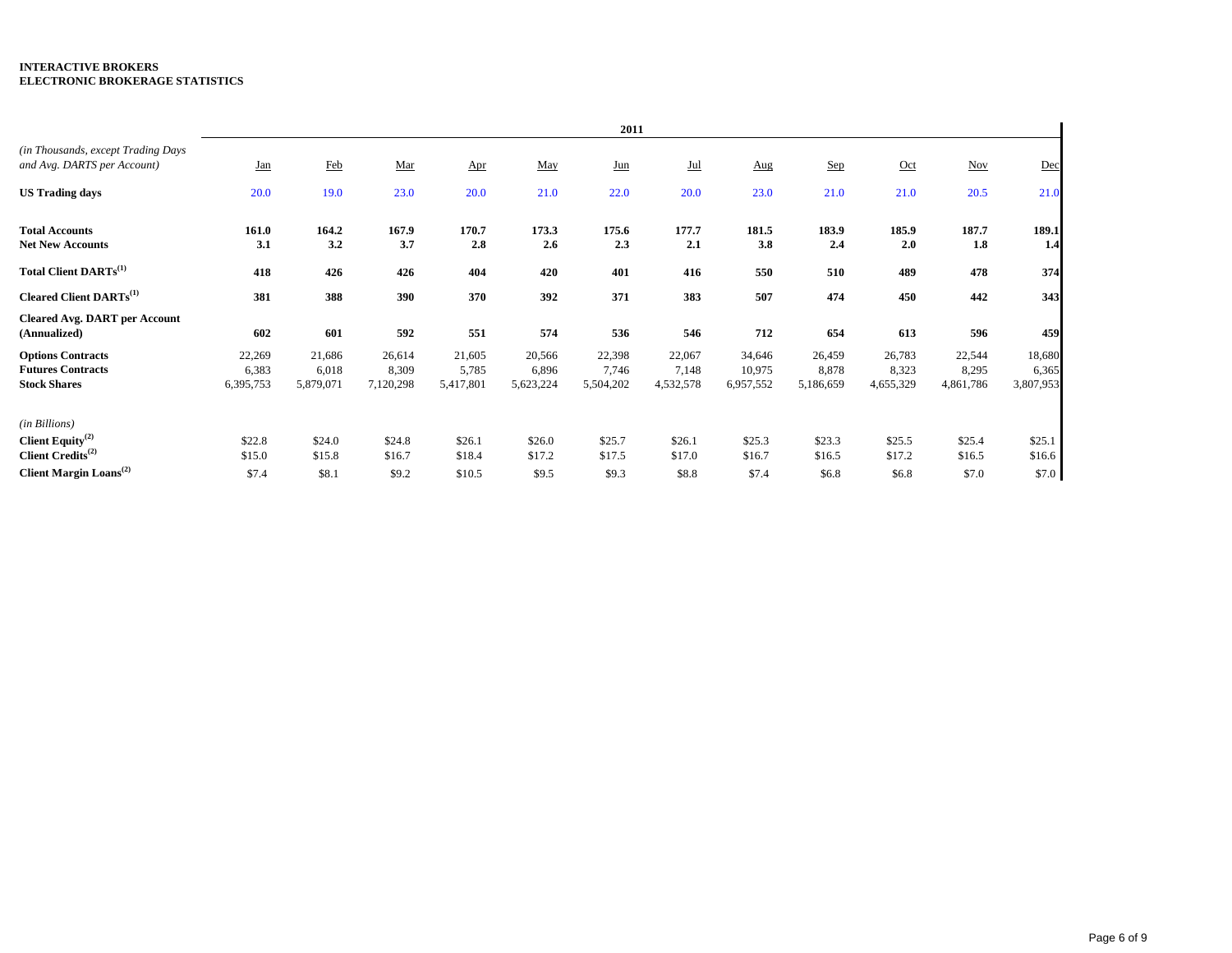|                                                                                |                              |                              |                              |                              |                              | 2011                         |                              |                               |                              |                              |                              |                              |
|--------------------------------------------------------------------------------|------------------------------|------------------------------|------------------------------|------------------------------|------------------------------|------------------------------|------------------------------|-------------------------------|------------------------------|------------------------------|------------------------------|------------------------------|
| (in Thousands, except Trading Days<br>and Avg. DARTS per Account)              | <u>Jan</u>                   | Feb                          | Mar                          | Apr                          | May                          | $_{\text{Jun}}$              | Jul                          | Aug                           | Sep                          | Oct                          | <b>Nov</b>                   | Dec                          |
| <b>US Trading days</b>                                                         | 20.0                         | 19.0                         | 23.0                         | 20.0                         | 21.0                         | 22.0                         | 20.0                         | 23.0                          | 21.0                         | 21.0                         | 20.5                         | 21.0                         |
| <b>Total Accounts</b><br><b>Net New Accounts</b>                               | 161.0<br>3.1                 | 164.2<br>3.2                 | 167.9<br>3.7                 | 170.7<br>2.8                 | 173.3<br>2.6                 | 175.6<br>2.3                 | 177.7<br>2.1                 | 181.5<br>3.8                  | 183.9<br>2.4                 | 185.9<br>2.0                 | 187.7<br>1.8                 | 189.1<br>1.4                 |
| Total Client DARTs <sup>(1)</sup>                                              | 418                          | 426                          | 426                          | 404                          | 420                          | 401                          | 416                          | 550                           | 510                          | 489                          | 478                          | 374                          |
| <b>Cleared Client DARTs</b> <sup>(1)</sup>                                     | 381                          | 388                          | 390                          | 370                          | 392                          | 371                          | 383                          | 507                           | 474                          | 450                          | 442                          | 343                          |
| <b>Cleared Avg. DART per Account</b><br>(Annualized)                           | 602                          | 601                          | 592                          | 551                          | 574                          | 536                          | 546                          | 712                           | 654                          | 613                          | 596                          | 459                          |
| <b>Options Contracts</b><br><b>Futures Contracts</b><br><b>Stock Shares</b>    | 22,269<br>6,383<br>6,395,753 | 21,686<br>6,018<br>5,879,071 | 26,614<br>8,309<br>7,120,298 | 21,605<br>5,785<br>5,417,801 | 20,566<br>6,896<br>5,623,224 | 22,398<br>7,746<br>5,504,202 | 22,067<br>7,148<br>4,532,578 | 34,646<br>10,975<br>6,957,552 | 26,459<br>8,878<br>5,186,659 | 26,783<br>8,323<br>4,655,329 | 22,544<br>8,295<br>4,861,786 | 18,680<br>6,365<br>3,807,953 |
| (in Billions)<br>Client Equity <sup>(2)</sup><br>Client Credits <sup>(2)</sup> | \$22.8<br>\$15.0             | \$24.0<br>\$15.8             | \$24.8<br>\$16.7             | \$26.1<br>\$18.4             | \$26.0<br>\$17.2             | \$25.7<br>\$17.5             | \$26.1<br>\$17.0             | \$25.3<br>\$16.7              | \$23.3<br>\$16.5             | \$25.5<br>\$17.2             | \$25.4<br>\$16.5             | \$25.1<br>\$16.6             |
| <b>Client Margin Loans</b> <sup>(2)</sup>                                      | \$7.4                        | \$8.1                        | \$9.2                        | \$10.5                       | \$9.5                        | \$9.3                        | \$8.8                        | \$7.4                         | \$6.8                        | \$6.8                        | \$7.0                        | \$7.0                        |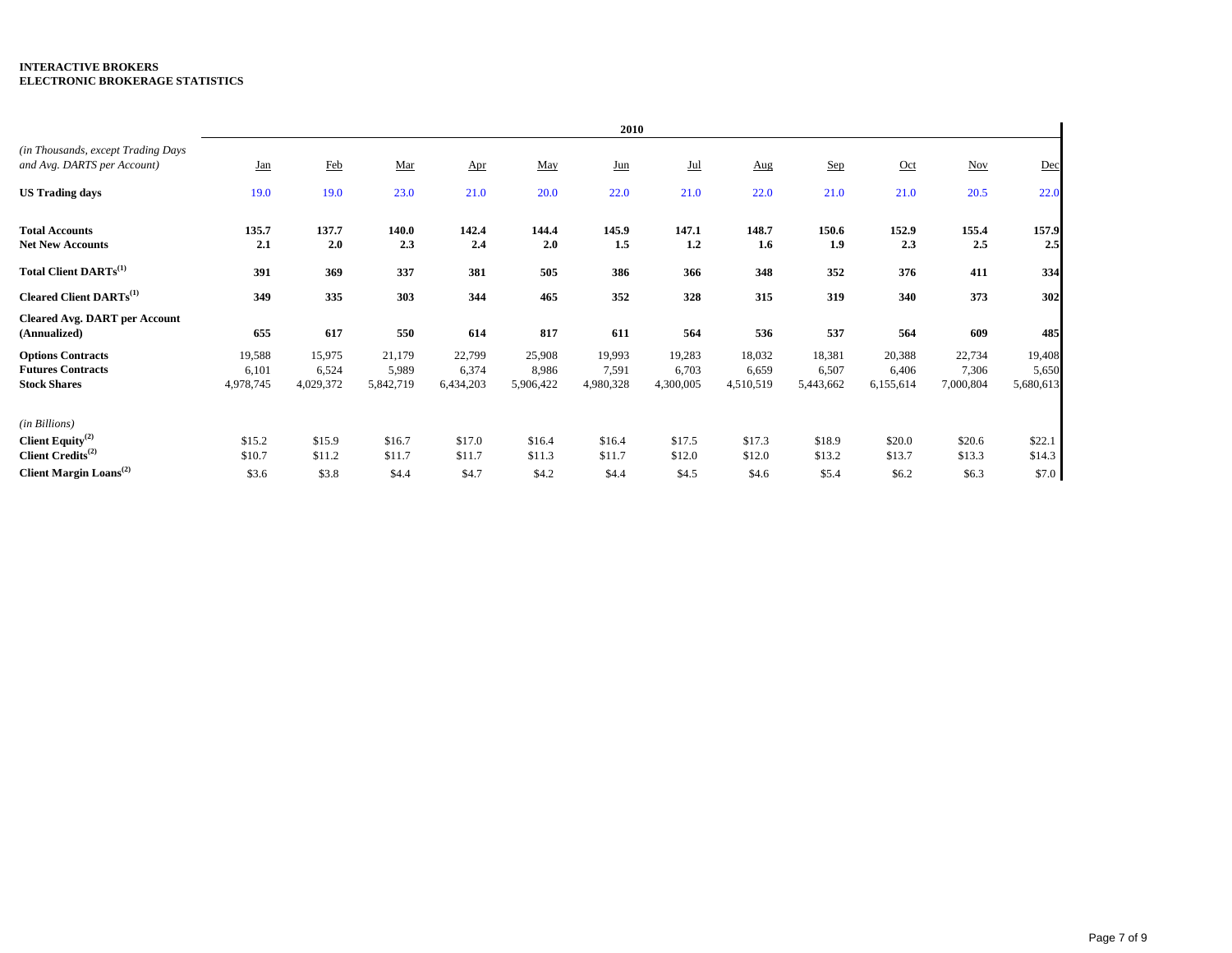|                                                                                |                              |                              |                              |                              |                              | 2010                         |                              |                              |                              |                              |                              |                              |
|--------------------------------------------------------------------------------|------------------------------|------------------------------|------------------------------|------------------------------|------------------------------|------------------------------|------------------------------|------------------------------|------------------------------|------------------------------|------------------------------|------------------------------|
| (in Thousands, except Trading Days<br>and Avg. DARTS per Account)              | <b>Jan</b>                   | Feb                          | Mar                          | $_{\Delta \text{pr}}$        | May                          | $_{\text{Jun}}$              | $Jul$                        | Aug                          | Sep                          | Oct                          | Nov                          | Dec                          |
| <b>US Trading days</b>                                                         | 19.0                         | 19.0                         | 23.0                         | 21.0                         | 20.0                         | 22.0                         | 21.0                         | 22.0                         | 21.0                         | 21.0                         | 20.5                         | 22.0                         |
| <b>Total Accounts</b><br><b>Net New Accounts</b>                               | 135.7<br>2.1                 | 137.7<br>2.0                 | 140.0<br>2.3                 | 142.4<br>2.4                 | 144.4<br>2.0                 | 145.9<br>1.5                 | 147.1<br>1.2                 | 148.7<br>1.6                 | 150.6<br>1.9                 | 152.9<br>2.3                 | 155.4<br>2.5                 | 157.9<br>2.5                 |
| Total Client DARTs <sup>(1)</sup>                                              | 391                          | 369                          | 337                          | 381                          | 505                          | 386                          | 366                          | 348                          | 352                          | 376                          | 411                          | 334                          |
| <b>Cleared Client DARTs</b> <sup>(1)</sup>                                     | 349                          | 335                          | 303                          | 344                          | 465                          | 352                          | 328                          | 315                          | 319                          | 340                          | 373                          | 302                          |
| <b>Cleared Avg. DART per Account</b><br>(Annualized)                           | 655                          | 617                          | 550                          | 614                          | 817                          | 611                          | 564                          | 536                          | 537                          | 564                          | 609                          | 485                          |
| <b>Options Contracts</b><br><b>Futures Contracts</b><br><b>Stock Shares</b>    | 19,588<br>6,101<br>4,978,745 | 15,975<br>6,524<br>4,029,372 | 21,179<br>5,989<br>5,842,719 | 22,799<br>6,374<br>6,434,203 | 25,908<br>8,986<br>5,906,422 | 19,993<br>7,591<br>4,980,328 | 19,283<br>6,703<br>4,300,005 | 18,032<br>6,659<br>4,510,519 | 18,381<br>6,507<br>5,443,662 | 20,388<br>6,406<br>6,155,614 | 22,734<br>7,306<br>7,000,804 | 19,408<br>5,650<br>5,680,613 |
| (in Billions)<br>Client Equity <sup>(2)</sup><br>Client Credits <sup>(2)</sup> | \$15.2<br>\$10.7             | \$15.9<br>\$11.2             | \$16.7<br>\$11.7             | \$17.0<br>\$11.7             | \$16.4<br>\$11.3             | \$16.4<br>\$11.7             | \$17.5<br>\$12.0             | \$17.3<br>\$12.0             | \$18.9<br>\$13.2             | \$20.0<br>\$13.7             | \$20.6<br>\$13.3             | \$22.1<br>\$14.3             |
| Client Margin Loans <sup>(2)</sup>                                             | \$3.6                        | \$3.8                        | \$4.4                        | \$4.7                        | \$4.2                        | \$4.4                        | \$4.5                        | \$4.6                        | \$5.4                        | \$6.2                        | \$6.3                        | \$7.0                        |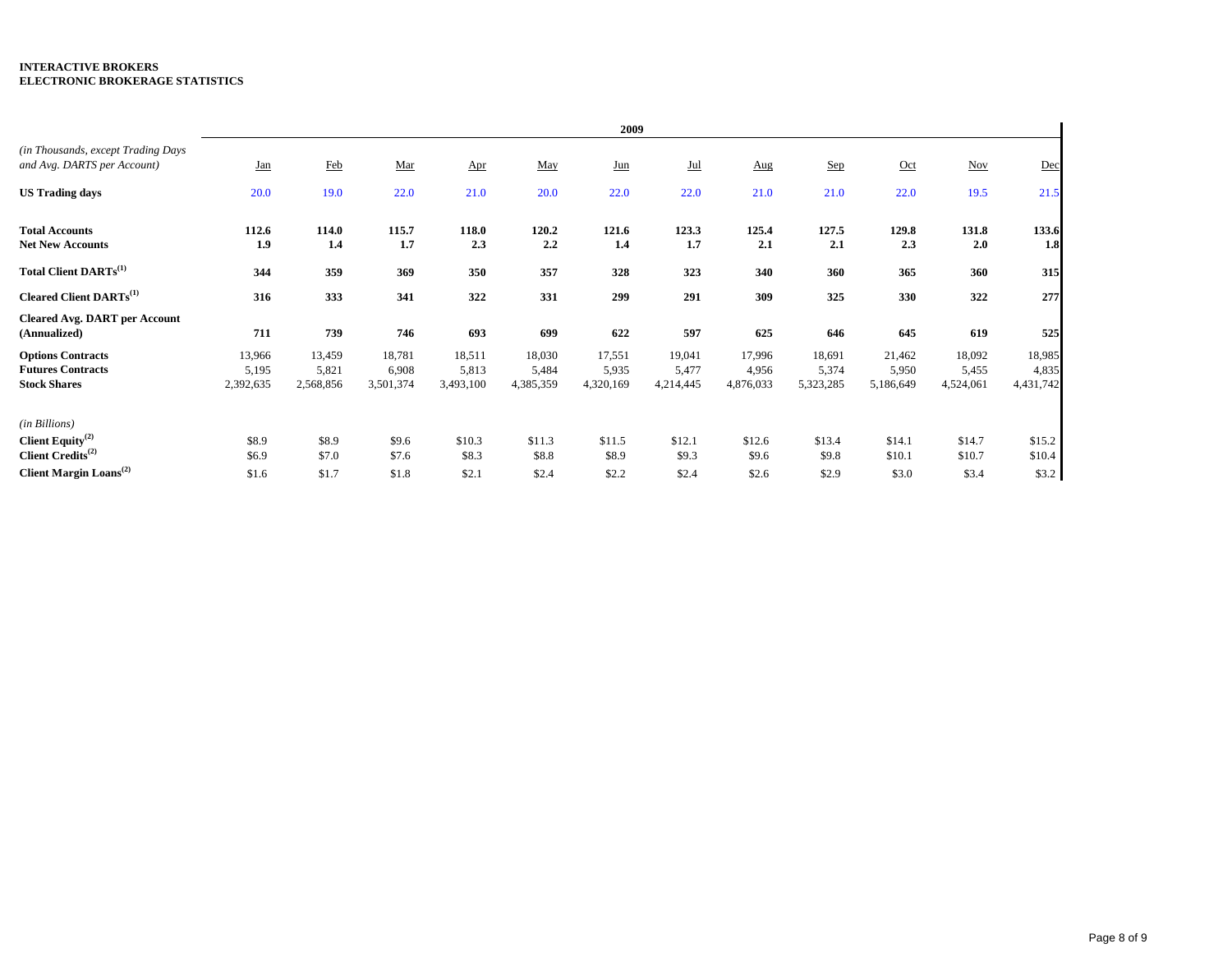|                                                                                |                              |                              |                              |                              |                              | 2009                         |                              |                              |                              |                              |                              |                              |
|--------------------------------------------------------------------------------|------------------------------|------------------------------|------------------------------|------------------------------|------------------------------|------------------------------|------------------------------|------------------------------|------------------------------|------------------------------|------------------------------|------------------------------|
| (in Thousands, except Trading Days<br>and Avg. DARTS per Account)              | <b>Jan</b>                   | Feb                          | Mar                          | Apr                          | May                          | $_{\text{Jun}}$              | $Jul$                        | Aug                          | Sep                          | $Oct$                        | Nov                          | Dec                          |
| <b>US Trading days</b>                                                         | 20.0                         | 19.0                         | 22.0                         | 21.0                         | 20.0                         | 22.0                         | 22.0                         | 21.0                         | 21.0                         | 22.0                         | 19.5                         | 21.5                         |
| <b>Total Accounts</b><br><b>Net New Accounts</b>                               | 112.6<br>1.9                 | 114.0<br>1.4                 | 115.7<br>1.7                 | 118.0<br>2.3                 | 120.2<br>2.2                 | 121.6<br>1.4                 | 123.3<br>1.7                 | 125.4<br>2.1                 | 127.5<br>2.1                 | 129.8<br>2.3                 | 131.8<br>2.0                 | 133.6<br>1.8                 |
| Total Client DARTs <sup>(1)</sup>                                              | 344                          | 359                          | 369                          | 350                          | 357                          | 328                          | 323                          | 340                          | 360                          | 365                          | 360                          | 315                          |
| <b>Cleared Client DARTs</b> <sup>(1)</sup>                                     | 316                          | 333                          | 341                          | 322                          | 331                          | 299                          | 291                          | 309                          | 325                          | 330                          | 322                          | 277                          |
| <b>Cleared Avg. DART per Account</b><br>(Annualized)                           | 711                          | 739                          | 746                          | 693                          | 699                          | 622                          | 597                          | 625                          | 646                          | 645                          | 619                          | 525                          |
| <b>Options Contracts</b><br><b>Futures Contracts</b><br><b>Stock Shares</b>    | 13,966<br>5,195<br>2,392,635 | 13,459<br>5,821<br>2,568,856 | 18,781<br>6,908<br>3,501,374 | 18,511<br>5,813<br>3,493,100 | 18,030<br>5,484<br>4,385,359 | 17,551<br>5,935<br>4,320,169 | 19,041<br>5,477<br>4,214,445 | 17,996<br>4,956<br>4,876,033 | 18,691<br>5,374<br>5,323,285 | 21,462<br>5,950<br>5,186,649 | 18,092<br>5,455<br>4,524,061 | 18,985<br>4,835<br>4,431,742 |
| (in Billions)<br>Client Equity <sup>(2)</sup><br>Client Credits <sup>(2)</sup> | \$8.9<br>\$6.9               | \$8.9<br>\$7.0               | \$9.6<br>\$7.6               | \$10.3<br>\$8.3              | \$11.3<br>\$8.8              | \$11.5<br>\$8.9              | \$12.1<br>\$9.3              | \$12.6<br>\$9.6              | \$13.4<br>\$9.8              | \$14.1<br>\$10.1             | \$14.7<br>\$10.7             | \$15.2<br>\$10.4             |
| Client Margin Loans <sup>(2)</sup>                                             | \$1.6                        | \$1.7                        | \$1.8                        | \$2.1                        | \$2.4                        | \$2.2                        | \$2.4                        | \$2.6                        | \$2.9                        | \$3.0                        | \$3.4                        | \$3.2                        |